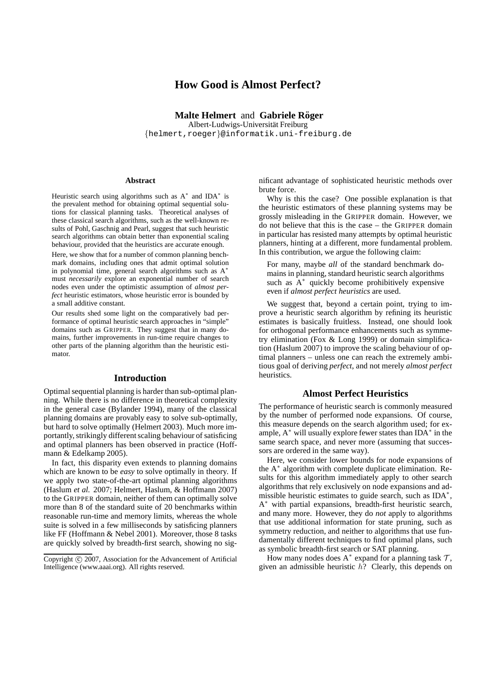# **How Good is Almost Perfect?**

**Malte Helmert** and **Gabriele Röger** Albert-Ludwigs-Universität Freiburg {helmert,roeger}@informatik.uni-freiburg.de

#### **Abstract**

Heuristic search using algorithms such as  $A^*$  and IDA<sup>\*</sup> is the prevalent method for obtaining optimal sequential solutions for classical planning tasks. Theoretical analyses of these classical search algorithms, such as the well-known results of Pohl, Gaschnig and Pearl, suggest that such heuristic search algorithms can obtain better than exponential scaling behaviour, provided that the heuristics are accurate enough.

Here, we show that for a number of common planning benchmark domains, including ones that admit optimal solution in polynomial time, general search algorithms such as A<sup>∗</sup> must *necessarily* explore an exponential number of search nodes even under the optimistic assumption of *almost perfect* heuristic estimators, whose heuristic error is bounded by a small additive constant.

Our results shed some light on the comparatively bad performance of optimal heuristic search approaches in "simple" domains such as GRIPPER. They suggest that in many domains, further improvements in run-time require changes to other parts of the planning algorithm than the heuristic estimator.

## **Introduction**

Optimal sequential planning is harder than sub-optimal planning. While there is no difference in theoretical complexity in the general case (Bylander 1994), many of the classical planning domains are provably easy to solve sub-optimally, but hard to solve optimally (Helmert 2003). Much more importantly, strikingly different scaling behaviour of satisficing and optimal planners has been observed in practice (Hoffmann & Edelkamp 2005).

In fact, this disparity even extends to planning domains which are known to be *easy* to solve optimally in theory. If we apply two state-of-the-art optimal planning algorithms (Haslum *et al.* 2007; Helmert, Haslum, & Hoffmann 2007) to the GRIPPER domain, neither of them can optimally solve more than 8 of the standard suite of 20 benchmarks within reasonable run-time and memory limits, whereas the whole suite is solved in a few milliseconds by satisficing planners like FF (Hoffmann & Nebel 2001). Moreover, those 8 tasks are quickly solved by breadth-first search, showing no significant advantage of sophisticated heuristic methods over brute force.

Why is this the case? One possible explanation is that the heuristic estimators of these planning systems may be grossly misleading in the GRIPPER domain. However, we do not believe that this is the case – the GRIPPER domain in particular has resisted many attempts by optimal heuristic planners, hinting at a different, more fundamental problem. In this contribution, we argue the following claim:

For many, maybe *all* of the standard benchmark domains in planning, standard heuristic search algorithms such as A<sup>∗</sup> quickly become prohibitively expensive even if *almost perfect heuristics* are used.

We suggest that, beyond a certain point, trying to improve a heuristic search algorithm by refining its heuristic estimates is basically fruitless. Instead, one should look for orthogonal performance enhancements such as symmetry elimination (Fox & Long 1999) or domain simplification (Haslum 2007) to improve the scaling behaviour of optimal planners – unless one can reach the extremely ambitious goal of deriving *perfect*, and not merely *almost perfect* heuristics.

## **Almost Perfect Heuristics**

The performance of heuristic search is commonly measured by the number of performed node expansions. Of course, this measure depends on the search algorithm used; for example, A<sup>\*</sup> will usually explore fewer states than IDA<sup>\*</sup> in the same search space, and never more (assuming that successors are ordered in the same way).

Here, we consider lower bounds for node expansions of the A<sup>∗</sup> algorithm with complete duplicate elimination. Results for this algorithm immediately apply to other search algorithms that rely exclusively on node expansions and admissible heuristic estimates to guide search, such as IDA<sup>\*</sup>, A<sup>\*</sup> with partial expansions, breadth-first heuristic search, and many more. However, they do *not* apply to algorithms that use additional information for state pruning, such as symmetry reduction, and neither to algorithms that use fundamentally different techniques to find optimal plans, such as symbolic breadth-first search or SAT planning.

How many nodes does  $A^*$  expand for a planning task  $T$ , given an admissible heuristic  $h$ ? Clearly, this depends on

Copyright © 2007, Association for the Advancement of Artificial Intelligence (www.aaai.org). All rights reserved.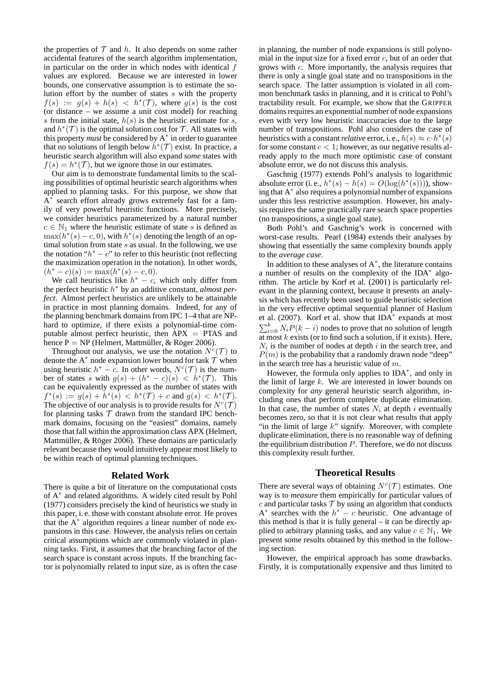the properties of  $T$  and h. It also depends on some rather accidental features of the search algorithm implementation, in particular on the order in which nodes with identical  $f$ values are explored. Because we are interested in lower bounds, one conservative assumption is to estimate the solution effort by the number of states s with the property  $f(s) := g(s) + h(s) < h^{*}(\mathcal{T})$ , where  $g(s)$  is the cost (or distance – we assume a unit cost model) for reaching s from the initial state,  $h(s)$  is the heuristic estimate for s, and  $h^*(\mathcal{T})$  is the optimal solution cost for  $\mathcal{T}$ . All states with this property *must* be considered by A<sup>∗</sup> in order to guarantee that no solutions of length below  $\tilde{h}^*(\mathcal{T})$  exist. In practice, a heuristic search algorithm will also expand *some* states with  $f(s) = h^*(\mathcal{T})$ , but we ignore those in our estimates.

Our aim is to demonstrate fundamental limits to the scaling possibilities of optimal heuristic search algorithms when applied to planning tasks. For this purpose, we show that  $A^*$  search effort already grows extremely fast for a family of very powerful heuristic functions. More precisely, we consider heuristics parameterized by a natural number  $c \in \mathbb{N}_1$  where the heuristic estimate of state s is defined as  $\max(h^*(s) - c, 0)$ , with  $h^*(s)$  denoting the length of an optimal solution from state  $s$  as usual. In the following, we use the notation " $h^* - c$ " to refer to this heuristic (not reflecting the maximization operation in the notation). In other words,  $(h^* - c)(s) := \max(h^*(s) - c, 0).$ 

We call heuristics like  $h^* - c$ , which only differ from the perfect heuristic h <sup>∗</sup> by an additive constant, *almost perfect*. Almost perfect heuristics are unlikely to be attainable in practice in most planning domains. Indeed, for any of the planning benchmark domains from IPC 1–4 that are NPhard to optimize, if there exists a polynomial-time computable almost perfect heuristic, then  $APX = PTAS$  and hence  $P = NP$  (Helmert, Mattmüller, & Röger 2006).

Throughout our analysis, we use the notation  $N^c(\mathcal{T})$  to denote the A<sup>\*</sup> node expansion lower bound for task  $\mathcal{T}$  when using heuristic  $h^* - c$ . In other words,  $N^c(\mathcal{T})$  is the number of states s with  $g(s) + (h^* - c)(s) < h^*(\mathcal{T})$ . This can be equivalently expressed as the number of states with  $f^*(s) := g(s) + h^*(s) < h^*(\mathcal{T}) + c$  and  $g(s) < h^*(\mathcal{T})$ . The objective of our analysis is to provide results for  $N^c(\mathcal{T})$ for planning tasks  $T$  drawn from the standard IPC benchmark domains, focusing on the "easiest" domains, namely those that fall within the approximation class APX (Helmert, Mattmüller,  $& Röger 2006$ . These domains are particularly relevant because they would intuitively appear most likely to be within reach of optimal planning techniques.

## **Related Work**

There is quite a bit of literature on the computational costs of A<sup>∗</sup> and related algorithms. A widely cited result by Pohl (1977) considers precisely the kind of heuristics we study in this paper, i. e. those with constant absolute error. He proves that the  $A^*$  algorithm requires a linear number of node expansions in this case. However, the analysis relies on certain critical assumptions which are commonly violated in planning tasks. First, it assumes that the branching factor of the search space is constant across inputs. If the branching factor is polynomially related to input size, as is often the case in planning, the number of node expansions is still polynomial in the input size for a fixed error  $c$ , but of an order that grows with c. More importantly, the analysis requires that there is only a single goal state and no transpositions in the search space. The latter assumption is violated in all common benchmark tasks in planning, and it is critical to Pohl's tractability result. For example, we show that the GRIPPER domains requires an exponential number of node expansions even with very low heuristic inaccuracies due to the large number of transpositions. Pohl also considers the case of heuristics with a constant *relative* error, i. e.,  $h(s) \approx c \cdot h^*(s)$ for some constant  $c < 1$ ; however, as our negative results already apply to the much more optimistic case of constant absolute error, we do not discuss this analysis.

Gaschnig (1977) extends Pohl's analysis to logarithmic absolute error (i. e.,  $h^*(s) - h(s) = O(\log(h^*(s))))$ , showing that  $A^*$  also requires a polynomial number of expansions under this less restrictive assumption. However, his analysis requires the same practically rare search space properties (no transpositions, a single goal state).

Both Pohl's and Gaschnig's work is concerned with worst-case results. Pearl (1984) extends their analyses by showing that essentially the same complexity bounds apply to the *average case*.

In addition to these analyses of A<sup>∗</sup> , the literature contains a number of results on the complexity of the IDA<sup>∗</sup> algorithm. The article by Korf et al. (2001) is particularly relevant in the planning context, because it presents an analysis which has recently been used to guide heuristic selection in the very effective optimal sequential planner of Haslum et al. (2007). Korf et al. show that IDA<sup>∗</sup> expands at most  $\sum_{i=0}^{k} N_i P(k-i)$  nodes to prove that no solution of length at most  $k$  exists (or to find such a solution, if it exists). Here,  $N_i$  is the number of nodes at depth i in the search tree, and  $P(m)$  is the probability that a randomly drawn node "deep" in the search tree has a heuristic value of  $m$ .

However, the formula only applies to IDA<sup>\*</sup>, and only in the limit of large  $k$ . We are interested in lower bounds on complexity for *any* general heuristic search algorithm, including ones that perform complete duplicate elimination. In that case, the number of states  $N_i$  at depth i eventually becomes zero, so that it is not clear what results that apply "in the limit of large  $k$ " signify. Moreover, with complete duplicate elimination, there is no reasonable way of defining the equilibrium distribution  $P$ . Therefore, we do not discuss this complexity result further.

## **Theoretical Results**

There are several ways of obtaining  $N^c(\mathcal{T})$  estimates. One way is to *measure* them empirically for particular values of  $c$  and particular tasks  $\mathcal T$  by using an algorithm that conducts  $A^*$  searches with the  $h^* - c$  heuristic. One advantage of this method is that it is fully general – it can be directly applied to arbitrary planning tasks, and any value  $c \in \mathbb{N}_1$ . We present some results obtained by this method in the following section.

However, the empirical approach has some drawbacks. Firstly, it is computationally expensive and thus limited to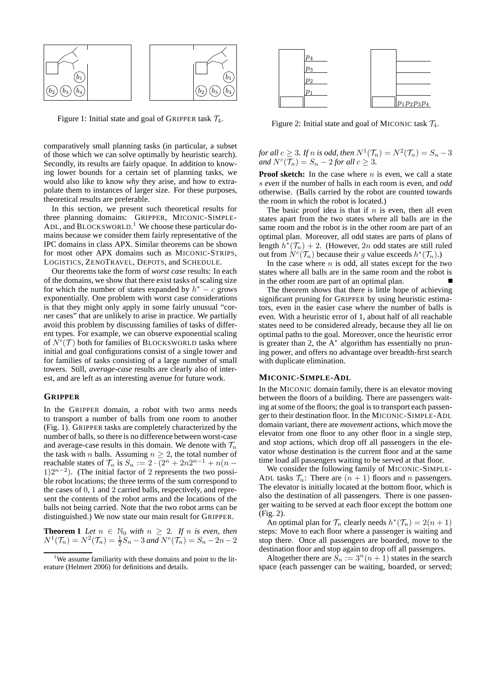

Figure 1: Initial state and goal of GRIPPER task  $\mathcal{T}_4$ .

comparatively small planning tasks (in particular, a subset of those which we can solve optimally by heuristic search). Secondly, its results are fairly opaque. In addition to knowing lower bounds for a certain set of planning tasks, we would also like to know *why* they arise, and how to extrapolate them to instances of larger size. For these purposes, theoretical results are preferable.

In this section, we present such theoretical results for three planning domains: GRIPPER, MICONIC-SIMPLE-ADL, and BLOCKSWORLD.<sup>1</sup> We choose these particular domains because we consider them fairly representative of the IPC domains in class APX. Similar theorems can be shown for most other APX domains such as MICONIC-STRIPS, LOGISTICS, ZENOTRAVEL, DEPOTS, and SCHEDULE.

Our theorems take the form of *worst case* results: In each of the domains, we show that there exist tasks of scaling size for which the number of states expanded by  $h^* - c$  grows exponentially. One problem with worst case considerations is that they might only apply in some fairly unusual "corner cases" that are unlikely to arise in practice. We partially avoid this problem by discussing families of tasks of different types. For example, we can observe exponential scaling of  $N^{i}(\mathcal{T})$  both for families of BLOCKSWORLD tasks where initial and goal configurations consist of a single tower and for families of tasks consisting of a large number of small towers. Still, *average-case* results are clearly also of interest, and are left as an interesting avenue for future work.

#### **GRIPPER**

In the GRIPPER domain, a robot with two arms needs to transport a number of balls from one room to another (Fig. 1). GRIPPER tasks are completely characterized by the number of balls, so there is no difference between worst-case and average-case results in this domain. We denote with  $\mathcal{T}_n$ the task with *n* balls. Assuming  $n \geq 2$ , the total number of reachable states of  $\mathcal{T}_n$  is  $S_n := 2 \cdot \overline{(2^n + 2n2^{n-1} + n(n-1))}$  $1)2^{n-2}$ ). (The initial factor of 2 represents the two possible robot locations; the three terms of the sum correspond to the cases of 0, 1 and 2 carried balls, respectively, and represent the contents of the robot arms and the locations of the balls not being carried. Note that the two robot arms can be distinguished.) We now state our main result for GRIPPER.

**Theorem 1** *Let*  $n \in \mathbb{N}_0$  *with*  $n \geq 2$ *. If n is even, then*  $N^1(\mathcal{T}_n) = N^2(\mathcal{T}_n) = \frac{1}{2}S_n - 3$  and  $N^c(\mathcal{T}_n) = S_n - 2n - 2$ 



Figure 2: Initial state and goal of MICONIC task  $\mathcal{T}_4$ .

for all  $c \geq 3$ *. If* n is odd, then  $N^1(\mathcal{T}_n) = N^2(\mathcal{T}_n) = S_n - 3$ *and*  $N^c(\overline{\mathcal{T}}_n) = S_n - 2$  *for all*  $c \geq 3$ .

**Proof sketch:** In the case where *n* is even, we call a state s *even* if the number of balls in each room is even, and *odd* otherwise. (Balls carried by the robot are counted towards the room in which the robot is located.)

The basic proof idea is that if  $n$  is even, then all even states apart from the two states where all balls are in the same room and the robot is in the other room are part of an optimal plan. Moreover, all odd states are parts of plans of length  $h^*(\mathcal{T}_n) + 2$ . (However, 2n odd states are still ruled out from  $N^c(\mathcal{T}_n)$  because their g value exceeds  $h^*(\mathcal{T}_n)$ .)

In the case where  $n$  is odd, all states except for the two states where all balls are in the same room and the robot is in the other room are part of an optimal plan.

The theorem shows that there is little hope of achieving significant pruning for GRIPPER by using heuristic estimators, even in the easier case where the number of balls is even. With a heuristic error of 1, about half of all reachable states need to be considered already, because they all lie on optimal paths to the goal. Moreover, once the heuristic error is greater than 2, the A<sup>∗</sup> algorithm has essentially no pruning power, and offers no advantage over breadth-first search with duplicate elimination.

#### **MICONIC-SIMPLE-ADL**

In the MICONIC domain family, there is an elevator moving between the floors of a building. There are passengers waiting at some of the floors; the goal is to transport each passenger to their destination floor. In the MICONIC-SIMPLE-ADL domain variant, there are *movement* actions, which move the elevator from one floor to any other floor in a single step, and *stop* actions, which drop off all passengers in the elevator whose destination is the current floor and at the same time load all passengers waiting to be served at that floor.

We consider the following family of MICONIC-SIMPLE-ADL tasks  $\mathcal{T}_n$ : There are  $(n + 1)$  floors and n passengers. The elevator is initially located at the bottom floor, which is also the destination of all passengers. There is one passenger waiting to be served at each floor except the bottom one (Fig. 2).

An optimal plan for  $\mathcal{T}_n$  clearly needs  $h^*(\mathcal{T}_n) = 2(n+1)$ steps: Move to each floor where a passenger is waiting and stop there. Once all passengers are boarded, move to the destination floor and stop again to drop off all passengers.

Altogether there are  $S_n := 3^n(n + 1)$  states in the search space (each passenger can be waiting, boarded, or served;

<sup>&</sup>lt;sup>1</sup>We assume familiarity with these domains and point to the literature (Helmert 2006) for definitions and details.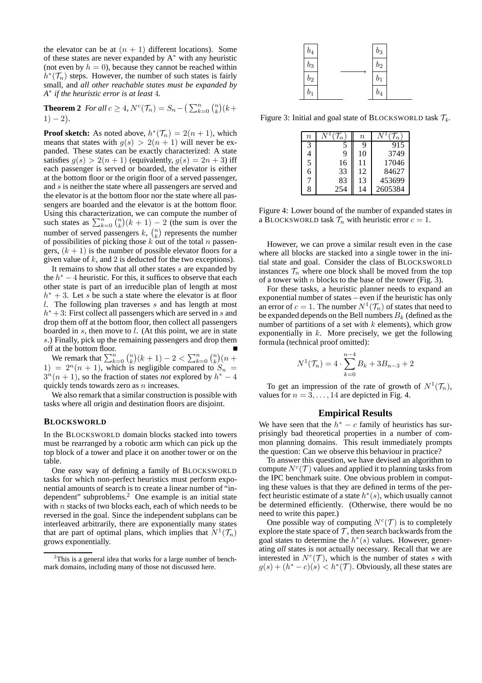the elevator can be at  $(n + 1)$  different locations). Some of these states are never expanded by A<sup>∗</sup> with any heuristic (not even by  $h = 0$ ), because they cannot be reached within  $h^*(\mathcal{T}_n)$  steps. However, the number of such states is fairly small, and *all other reachable states must be expanded by A* ∗ *if the heuristic error is at least* 4*.*

**Theorem 2** *For all*  $c \ge 4$ ,  $N^c(\mathcal{T}_n) = S_n - (\sum_{k=0}^n {n \choose k} (k +$  $1) - 2$ .

**Proof sketch:** As noted above,  $h^*(\mathcal{T}_n) = 2(n+1)$ , which means that states with  $g(s) > 2(n + 1)$  will never be expanded. These states can be exactly characterized: A state satisfies  $g(s) > 2(n + 1)$  (equivalently,  $g(s) = 2n + 3$ ) iff each passenger is served or boarded, the elevator is either at the bottom floor or the origin floor of a served passenger, and s is neither the state where all passengers are served and the elevator is at the bottom floor nor the state where all passengers are boarded and the elevator is at the bottom floor. Using this characterization, we can compute the number of such states as  $\sum_{k=0}^{n} {n \choose k} (k+1) - 2$  (the sum is over the number of served passengers k,  $\binom{n}{k}$  represents the number of possibilities of picking those  $k$  out of the total n passengers,  $(k + 1)$  is the number of possible elevator floors for a given value of  $k$ , and 2 is deducted for the two exceptions).

It remains to show that all other states s are expanded by the  $h^* - 4$  heuristic. For this, it suffices to observe that each other state is part of an irreducible plan of length at most  $h^* + 3$ . Let s be such a state where the elevator is at floor l. The following plan traverses  $s$  and has length at most  $h^* + 3$ : First collect all passengers which are served in s and drop them off at the bottom floor, then collect all passengers boarded in  $s$ , then move to  $l$ . (At this point, we are in state s.) Finally, pick up the remaining passengers and drop them off at the bottom floor.

We remark that  $\sum_{k=0}^{n} {n \choose k} (k+1) - 2 < \sum_{k=0}^{n} {n \choose k} (n + 1)$ 1) =  $2^n(n + 1)$ , which is negligible compared to  $S_n$  =  $3^{n}(n+1)$ , so the fraction of states *not* explored by  $h^{*}-4$ quickly tends towards zero as  $n$  increases.

We also remark that a similar construction is possible with tasks where all origin and destination floors are disjoint.

### **BLOCKSWORLD**

In the BLOCKSWORLD domain blocks stacked into towers must be rearranged by a robotic arm which can pick up the top block of a tower and place it on another tower or on the table.

One easy way of defining a family of BLOCKSWORLD tasks for which non-perfect heuristics must perform exponential amounts of search is to create a linear number of "independent" subproblems.<sup>2</sup> One example is an initial state with  $n$  stacks of two blocks each, each of which needs to be reversed in the goal. Since the independent subplans can be interleaved arbitrarily, there are exponentially many states that are part of optimal plans, which implies that  $N^1(\mathcal{T}_n)$ grows exponentially.

| $b_4$ | $b_3$            |  |
|-------|------------------|--|
| $b_3$ | $\mathfrak{b}_2$ |  |
| $b_2$ | $b_1$            |  |
| $b_1$ | $\mathfrak{b}_4$ |  |

Figure 3: Initial and goal state of BLOCKSWORLD task  $\mathcal{T}_4$ .

| $\it n$ | $\boldsymbol{n}$ | $\it n$ |         |
|---------|------------------|---------|---------|
| 3       |                  |         | 915     |
| 4       | 9                | 10      | 3749    |
| 5       | 16               | 11      | 17046   |
| 6       | 33               | 12      | 84627   |
| 7       | 83               | 13      | 453699  |
| 8       |                  | 14      | 2605384 |

Figure 4: Lower bound of the number of expanded states in a BLOCKSWORLD task  $\mathcal{T}_n$  with heuristic error  $c = 1$ .

However, we can prove a similar result even in the case where all blocks are stacked into a single tower in the initial state and goal. Consider the class of BLOCKSWORLD instances  $\mathcal{T}_n$  where one block shall be moved from the top of a tower with  $n$  blocks to the base of the tower (Fig. 3).

For these tasks, a heuristic planner needs to expand an exponential number of states – even if the heuristic has only an error of  $c = 1$ . The number  $N^1(\mathcal{T}_n)$  of states that need to be expanded depends on the Bell numbers  $B_k$  (defined as the number of partitions of a set with  $k$  elements), which grow exponentially in  $k$ . More precisely, we get the following formula (technical proof omitted):

$$
N^{1}(\mathcal{T}_{n}) = 4 \cdot \sum_{k=0}^{n-4} B_{k} + 3B_{n-3} + 2
$$

To get an impression of the rate of growth of  $N^1(\mathcal{T}_n)$ , values for  $n = 3, \ldots, 14$  are depicted in Fig. 4.

## **Empirical Results**

We have seen that the  $h^* - c$  family of heuristics has surprisingly bad theoretical properties in a number of common planning domains. This result immediately prompts the question: Can we observe this behaviour in practice?

To answer this question, we have devised an algorithm to compute  $N^c(\mathcal{T})$  values and applied it to planning tasks from the IPC benchmark suite. One obvious problem in computing these values is that they are defined in terms of the perfect heuristic estimate of a state  $h^*(s)$ , which usually cannot be determined efficiently. (Otherwise, there would be no need to write this paper.)

One possible way of computing  $N^c(\mathcal{T})$  is to completely explore the state space of  $\mathcal T$ , then search backwards from the goal states to determine the  $h^*(s)$  values. However, generating *all* states is not actually necessary. Recall that we are interested in  $N^c(\mathcal{T})$ , which is the number of states s with  $g(s) + (h^* - c)(s) < h^*(\mathcal{T})$ . Obviously, all these states are

<sup>&</sup>lt;sup>2</sup>This is a general idea that works for a large number of benchmark domains, including many of those not discussed here.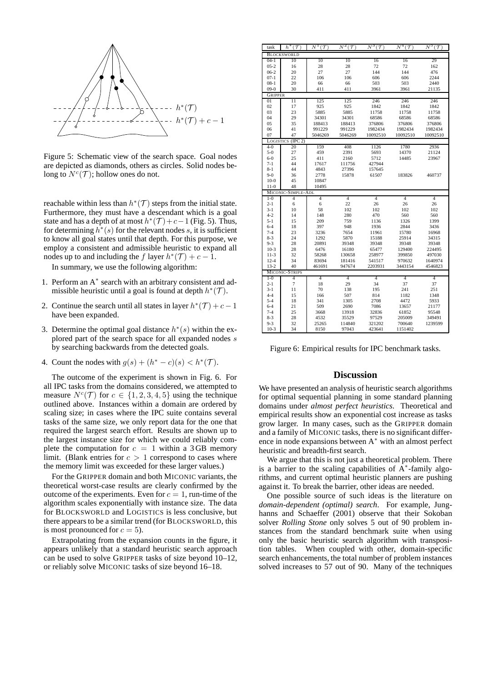

Figure 5: Schematic view of the search space. Goal nodes are depicted as diamonds, others as circles. Solid nodes belong to  $N^c(\mathcal{T})$ ; hollow ones do not.

reachable within less than  $h^*(\mathcal{T})$  steps from the initial state. Furthermore, they must have a descendant which is a goal state and has a depth of at most  $h^*(\mathcal{T})+c-1$  (Fig. 5). Thus, for determining  $h^*(s)$  for the relevant nodes s, it is sufficient to know all goal states until that depth. For this purpose, we employ a consistent and admissible heuristic to expand all nodes up to and including the f layer  $h^*(\mathcal{T}) + c - 1$ .

In summary, we use the following algorithm:

- 1. Perform an A<sup>\*</sup> search with an arbitrary consistent and admissible heuristic until a goal is found at depth  $h^*(\mathcal{T})$ .
- 2. Continue the search until all states in layer  $h^*(\mathcal{T}) + c 1$ have been expanded.
- 3. Determine the optimal goal distance  $h^*(s)$  within the explored part of the search space for all expanded nodes s by searching backwards from the detected goals.
- 4. Count the nodes with  $g(s) + (h^* c)(s) < h^*(\mathcal{T})$ .

The outcome of the experiment is shown in Fig. 6. For all IPC tasks from the domains considered, we attempted to measure  $N^{c}(\mathcal{T})$  for  $c \in \{1, 2, 3, 4, 5\}$  using the technique outlined above. Instances within a domain are ordered by scaling size; in cases where the IPC suite contains several tasks of the same size, we only report data for the one that required the largest search effort. Results are shown up to the largest instance size for which we could reliably complete the computation for  $c = 1$  within a 3 GB memory limit. (Blank entries for  $c > 1$  correspond to cases where the memory limit was exceeded for these larger values.)

For the GRIPPER domain and both MICONIC variants, the theoretical worst-case results are clearly confirmed by the outcome of the experiments. Even for  $c = 1$ , run-time of the algorithm scales exponentially with instance size. The data for BLOCKSWORLD and LOGISTICS is less conclusive, but there appears to be a similar trend (for BLOCKSWORLD, this is most pronounced for  $c = 5$ ).

Extrapolating from the expansion counts in the figure, it appears unlikely that a standard heuristic search approach can be used to solve GRIPPER tasks of size beyond 10–12, or reliably solve MICONIC tasks of size beyond 16–18.

| task                 | $h^*(\mathcal{T})$ | $N^1(\mathcal{T})$ | $N^2(\mathcal{T})$ | $N^3(\mathcal{T})$ | $N^4(\mathcal{T})$ | $N^5(\mathcal{T})$ |  |  |
|----------------------|--------------------|--------------------|--------------------|--------------------|--------------------|--------------------|--|--|
| <b>BLOCKSWORLD</b>   |                    |                    |                    |                    |                    |                    |  |  |
| $04-1$               | 10                 | 10                 | 10                 | 16                 | 16                 | 29                 |  |  |
| $05 - 2$             | 16                 | 28                 | 28                 | 72                 | 72                 | 162                |  |  |
| $06-2$               | 20                 | 27                 | 27                 | 144                | 144                | 476                |  |  |
| $07 - 1$             | 22                 | 106                | 106                | 606                | 606                | 2244               |  |  |
| $08 - 1$             | 20                 | 66                 | 66                 | 503                | 503                | 2440               |  |  |
| $09-0$               | 30                 | 411                | 411                | 3961               | 3961               | 21135              |  |  |
| <b>GRIPPER</b>       |                    |                    |                    |                    |                    |                    |  |  |
| 01                   | 11                 | 125                | 125                | 246                | 246                | 246                |  |  |
| 02                   | 17                 | 925                | 925                | 1842               | 1842               | 1842               |  |  |
| 03                   | 23                 | 5885               | 5885               | 11758              | 11758              | 11758              |  |  |
| 04                   | 29                 | 34301              | 34301              | 68586              | 68586              | 68586              |  |  |
| 05                   | 35                 | 188413             | 188413             | 376806             | 376806             | 376806             |  |  |
| 06                   | 41                 | 991229             | 991229             | 1982434            | 1982434            | 1982434            |  |  |
| 07                   | 47                 | 5046269            | 5046269            | 10092510           | 10092510           | 10092510           |  |  |
| LOGISTICS<br>$4 - 0$ | (IPC 2)<br>20      | 159                | 408                | 1126               | 1780               | 2936               |  |  |
| $5 - 0$              | 27                 | 459                | 2391               | 5693               | 14370              | 21124              |  |  |
| $6 - 0$              | 25                 | 411                | 2160               | 5712               | 14485              | 23967              |  |  |
| $7 - 1$              | 44                 | 17617              | 111756             | 427944             |                    |                    |  |  |
| $8 - 1$              | 44                 | 4843               | 27396              | 157645             |                    |                    |  |  |
| $9-0$                | 36                 | 2778               | 15878              | 61507              | 183826             | 460737             |  |  |
| $10-0$               | 45                 | 10847              |                    |                    |                    |                    |  |  |
| $11-0$               | 48                 | 10495              |                    |                    |                    |                    |  |  |
|                      | MICONIC-SIMPLE-ADL |                    |                    |                    |                    |                    |  |  |
|                      |                    |                    | $\overline{4}$     | $\overline{4}$     | $\overline{4}$     | $\overline{4}$     |  |  |
|                      |                    |                    |                    |                    |                    |                    |  |  |
| $1 - 0$              | 4                  | $\overline{4}$     |                    |                    |                    |                    |  |  |
| $2 - 1$<br>$3 - 1$   | 6<br>10            | 6<br>58            | 22<br>102          | 26<br>102          | 26<br>102          | 26<br>102          |  |  |
| $4 - 2$              | 14                 | 148                | 280                | 470                | 560                | 560                |  |  |
| $5 - 1$              | 15                 | 209                | 759                | 1136               | 1326               | 1399               |  |  |
| $6 - 4$              | 18                 | 397                | 948                | 1936               | 2844               | 3436               |  |  |
| $7 - 4$              | 23                 | 3236               | 7654               | 11961              | 15780              | 16968              |  |  |
| $8 - 3$              | 24                 | 1292               | 5870               | 15188              | 25914              | 34315              |  |  |
| $9 - 3$              | 28                 | 20891              | 39348              | 39348              | 39348              | 39348              |  |  |
| $10-3$               | 28                 | 6476               | 16180              | 65477              | 129400             | 224495             |  |  |
| $11-3$               | 32                 | 58268              | 130658             | 258977             | 399850             | 497030             |  |  |
| $12 - 4$             | 34                 | 83694              | 181416             | 541517             | 970632             | 1640974            |  |  |
| $13 - 2$             | 40                 | 461691             | 947674             | 2203931            | 3443154            | 4546823            |  |  |
|                      | MICONIC-STRIPS     |                    |                    |                    |                    |                    |  |  |
| $1-0$                | $\overline{4}$     | $\overline{4}$     | $\overline{4}$     | 4                  | 4                  | $\overline{4}$     |  |  |
| $2 - 1$              | $\overline{7}$     | 18                 | 29                 | 34                 | 37                 | 37                 |  |  |
| $3 - 1$              | 11                 | 70                 | 138                | 195                | 241                | 251                |  |  |
| $4 - 4$              | 15                 | 166                | 507                | 814                | 1182               | 1348               |  |  |
| $5 - 4$              | 18                 | 341                | 1305               | 2708               | 4472               | 5933               |  |  |
| $6 - 4$              | 21                 | 509                | 2690               | 7086               | 13657              | 21177              |  |  |
| $7 - 4$              | 25                 | 3668               | 13918              | 32836              | 61852              | 95548              |  |  |
| $8 - 3$              | 28                 | 4532               | 35529              | 97529              | 205009             | 349491             |  |  |
| $9 - 3$<br>$10-3$    | 32<br>34           | 25265<br>8150      | 114840<br>97043    | 321202<br>423641   | 700640<br>1151402  | 1239599            |  |  |

Figure 6: Empirical results for IPC benchmark tasks.

## **Discussion**

We have presented an analysis of heuristic search algorithms for optimal sequential planning in some standard planning domains under *almost perfect heuristics*. Theoretical and empirical results show an exponential cost increase as tasks grow larger. In many cases, such as the GRIPPER domain and a family of MICONIC tasks, there is no significant difference in node expansions between A<sup>∗</sup> with an almost perfect heuristic and breadth-first search.

We argue that this is not just a theoretical problem. There is a barrier to the scaling capabilities of  $A^*$ -family algorithms, and current optimal heuristic planners are pushing against it. To break the barrier, other ideas are needed.

One possible source of such ideas is the literature on *domain-dependent (optimal) search*. For example, Junghanns and Schaeffer (2001) observe that their Sokoban solver *Rolling Stone* only solves 5 out of 90 problem instances from the standard benchmark suite when using only the basic heuristic search algorithm with transposition tables. When coupled with other, domain-specific search enhancements, the total number of problem instances solved increases to 57 out of 90. Many of the techniques